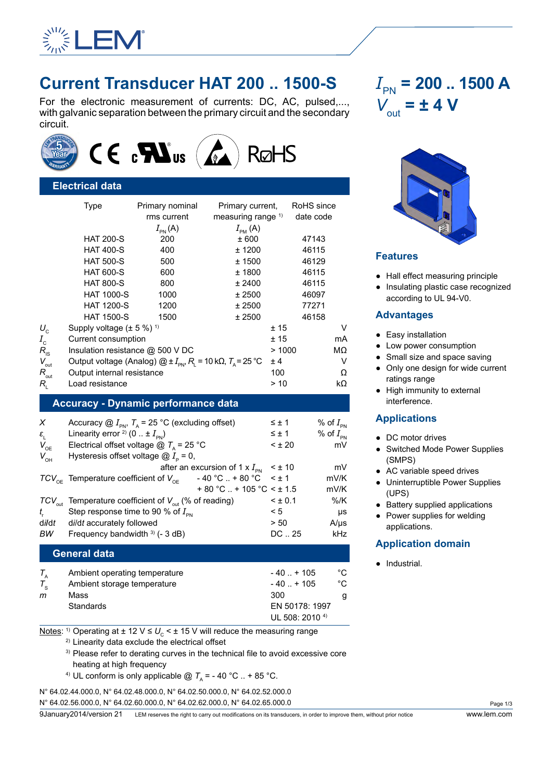

# **Current Transducer HAT 200 .. 1500-S**

For the electronic measurement of currents: DC, AC, pulsed,..., with galvanic separation between the primary circuit and the secondary circuit.



# **Electrical data**

|                  | <b>Type</b>                              | Primary nominal                                                                                     | Primary current,    | RoHS since |    |
|------------------|------------------------------------------|-----------------------------------------------------------------------------------------------------|---------------------|------------|----|
|                  |                                          | rms current                                                                                         | measuring range $1$ | date code  |    |
|                  |                                          | $I_{\text{PN}}(\mathsf{A})$                                                                         | $I_{\text{PM}}(A)$  |            |    |
|                  | <b>HAT 200-S</b>                         | 200                                                                                                 | ± 600               | 47143      |    |
|                  | <b>HAT 400-S</b>                         | 400                                                                                                 | ± 1200              | 46115      |    |
|                  | <b>HAT 500-S</b>                         | 500                                                                                                 | ± 1500              | 46129      |    |
|                  | <b>HAT 600-S</b>                         | 600                                                                                                 | ± 1800              | 46115      |    |
|                  | <b>HAT 800-S</b>                         | 800                                                                                                 | ± 2400              | 46115      |    |
|                  | <b>HAT 1000-S</b>                        | 1000                                                                                                | ± 2500              | 46097      |    |
|                  | <b>HAT 1200-S</b>                        | 1200                                                                                                | ± 2500              | 77271      |    |
|                  | <b>HAT 1500-S</b>                        | 1500                                                                                                | ± 2500              | 46158      |    |
| $U_{\rm c}$      | Supply voltage $(\pm 5\%)$ <sup>1)</sup> |                                                                                                     |                     | ±15        | V  |
| $I_{\rm c}$      | Current consumption                      |                                                                                                     |                     | ±15        | mA |
| $R_{\rm{is}}$    | Insulation resistance @ 500 V DC         |                                                                                                     |                     | >1000      | MΩ |
| $V_{\text{out}}$ |                                          | Output voltage (Analog) $@tI_{\text{av}}$ , R <sub>1</sub> = 10 k $\Omega$ , T <sub>4</sub> = 25 °C |                     | ± 4        | v  |
| $R_{_{\rm out}}$ | Output internal resistance               |                                                                                                     |                     | 100        | Ω  |
| $R_{\shortmid}$  | Load resistance                          |                                                                                                     |                     | > 10       | kΩ |
|                  |                                          |                                                                                                     |                     |            |    |

#### **Accuracy - Dynamic performance data**

|                             | lype                                                            | Primary nominal<br>rms current                                                                       | Primary current,<br>measuring range <sup>1)</sup>         |               | ROHS SINCE<br>date code      |             |                                                   |
|-----------------------------|-----------------------------------------------------------------|------------------------------------------------------------------------------------------------------|-----------------------------------------------------------|---------------|------------------------------|-------------|---------------------------------------------------|
|                             |                                                                 | $I_{\text{PN}}(\textsf{A})$                                                                          | $I_{\text{PM}}(A)$                                        |               |                              |             |                                                   |
|                             | <b>HAT 200-S</b>                                                | 200                                                                                                  | ± 600                                                     |               | 47143                        |             |                                                   |
|                             | <b>HAT 400-S</b>                                                | 400                                                                                                  | ± 1200                                                    |               | 46115                        |             |                                                   |
|                             | <b>HAT 500-S</b>                                                | 500                                                                                                  | ± 1500                                                    |               | 46129                        |             | <b>Features</b>                                   |
|                             | <b>HAT 600-S</b>                                                | 600                                                                                                  | ± 1800                                                    |               | 46115                        |             |                                                   |
|                             | <b>HAT 800-S</b>                                                | 800                                                                                                  | ± 2400                                                    |               | 46115                        |             | • Hall effect measuring<br>Insulating plastic cas |
|                             | <b>HAT 1000-S</b>                                               | 1000                                                                                                 | ± 2500                                                    |               | 46097                        |             | according to UL 94-V                              |
|                             | <b>HAT 1200-S</b>                                               | 1200                                                                                                 | ± 2500                                                    |               | 77271                        |             |                                                   |
|                             | <b>HAT 1500-S</b>                                               | 1500                                                                                                 | ± 2500                                                    |               | 46158                        |             | <b>Advantages</b>                                 |
| $U_{\rm c}$                 | Supply voltage $(\pm 5\%)$ <sup>1)</sup>                        |                                                                                                      |                                                           | ±15           |                              | V           |                                                   |
| $I_{\rm c}$                 | Current consumption                                             |                                                                                                      |                                                           | ±15           |                              | mA          | • Easy installation                               |
| $R_{\rm IS}$                | Insulation resistance @ 500 V DC                                |                                                                                                      |                                                           | >1000         | МΩ                           |             | • Low power consump                               |
| $V_{\text{out}}$            |                                                                 | Output voltage (Analog) $@tI_{\text{PN}}$ , $R_{L}$ = 10 k $\Omega$ , $T_{A}$ = 25 °C                |                                                           | ± 4           |                              | V           | • Small size and space                            |
| $R_{\mbox{\tiny out}}$      | Output internal resistance                                      |                                                                                                      |                                                           | 100           |                              | Ω           | • Only one design for v                           |
| $R_{L}$                     | Load resistance                                                 |                                                                                                      |                                                           | > 10          |                              | kΩ          | ratings range                                     |
|                             |                                                                 |                                                                                                      |                                                           |               |                              |             | • High immunity to exte                           |
|                             |                                                                 | <b>Accuracy - Dynamic performance data</b>                                                           |                                                           |               |                              |             | interference.                                     |
| X                           |                                                                 | Accuracy $\bigcirc Q$ $I_{\text{PN}}$ , $T_{\text{A}}$ = 25 °C (excluding offset)                    |                                                           | $\leq \pm 1$  | % of $I_{\textrm{\tiny PN}}$ |             | <b>Applications</b>                               |
| $\pmb{\mathcal{E}}_{\rm L}$ | Linearity error <sup>2)</sup> (0 $\pm I_{\rm PN}$ )             |                                                                                                      |                                                           | $\leq \pm 1$  | % of $I_{\text{PN}}$         |             | • DC motor drives                                 |
| $V_{\rm OE}$                |                                                                 | Electrical offset voltage $\textcircled{2}$ $T_{\text{A}}$ = 25 °C                                   |                                                           | $< \pm 20$    | mV                           |             | • Switched Mode Powe                              |
| $V_{\text{OH}}$             | Hysteresis offset voltage $\textcircled{a}$ $I_{\text{p}}$ = 0, |                                                                                                      |                                                           |               |                              |             | (SMPS)                                            |
|                             |                                                                 |                                                                                                      | after an excursion of 1 x $I_{\rm \scriptscriptstyle PM}$ | $<$ $\pm$ 10  |                              | mV          | • AC variable speed dr                            |
|                             | $TCV_{\text{OE}}$ Temperature coefficient of $V_{\text{OE}}$    |                                                                                                      | - 40 °C $. + 80$ °C                                       | $< \pm 1$     | mV/K                         |             | Uninterruptible Powe                              |
|                             |                                                                 |                                                                                                      | $+80 °C + 105 °C < \pm 1.5$                               |               | mV/K                         |             | (UPS)                                             |
|                             |                                                                 | $TCV_{\text{out}}$ Temperature coefficient of $V_{\text{out}}$ (% of reading)                        |                                                           | $<$ $\pm$ 0.1 | %/K                          |             | • Battery supplied appl                           |
| $t_{\rm r}$                 | Step response time to 90 % of $I_{\text{PN}}$                   |                                                                                                      |                                                           | < 5           |                              | μs          | • Power supplies for w                            |
| dildt                       | di/dt accurately followed                                       |                                                                                                      |                                                           | > 50          | $A/\mu s$                    |             | applications.                                     |
| ВW                          | Frequency bandwidth 3) (- 3 dB)                                 |                                                                                                      |                                                           | DC25          | kHz                          |             |                                                   |
|                             | <b>General data</b>                                             |                                                                                                      |                                                           |               |                              |             | <b>Application domai</b>                          |
|                             | Ambient operating temperature                                   |                                                                                                      |                                                           | $-40$ $+105$  |                              | °C          | • Industrial.                                     |
| $T_{\rm A}$                 | Ambient storage temperature                                     |                                                                                                      |                                                           | $-40$ $+105$  |                              | $^{\circ}C$ |                                                   |
| $T_{\rm s}$<br>m            | Mass                                                            |                                                                                                      |                                                           | 300           |                              |             |                                                   |
|                             | Standards                                                       |                                                                                                      |                                                           |               | EN 50178: 1997               | g           |                                                   |
|                             |                                                                 |                                                                                                      |                                                           |               | UL 508: 2010 <sup>4)</sup>   |             |                                                   |
|                             |                                                                 | Notes: <sup>1)</sup> Operating at $\pm$ 12 V $\leq U_c$ < $\pm$ 15 V will reduce the measuring range |                                                           |               |                              |             |                                                   |
|                             |                                                                 | <sup>2)</sup> Linearity data exclude the electrical offset                                           |                                                           |               |                              |             |                                                   |
|                             |                                                                 | <sup>3)</sup> Please refer to derating curves in the technical file to avoid excessive core          |                                                           |               |                              |             |                                                   |
|                             | heating at high frequency                                       |                                                                                                      |                                                           |               |                              |             |                                                   |
|                             |                                                                 | 4) III conform is only applicable $\bigotimes T = 40\degree C + 95\degree C$                         |                                                           |               |                              |             |                                                   |

<sup>4)</sup> UL conform is only applicable  $\textcircled{2}$   $T_{\text{\tiny{A}}}$  = - 40 °C .. + 85 °C.

N° 64.02.44.000.0, N° 64.02.48.000.0, N° 64.02.50.000.0, N° 64.02.52.000.0

N° 64.02.56.000.0, N° 64.02.60.000.0, N° 64.02.62.000.0, N° 64.02.65.000.0

9January2014/version 21 LEM reserves the right to carry out modifications on its transducers, in order to improve them, without prior notice www.lem.com

*I*PN **= 200 .. 1500 A**  $V_{\text{out}} = \pm 4 \text{ V}$ 



#### **Features**

- Hall effect measuring principle
- Insulating plastic case recognized according to UL 94-V0.

#### **Advantages**

- Easy installation
- Low power consumption
- Small size and space saving
- Only one design for wide current ratings range
- High immunity to external interference.

# **Applications**

- DC motor drives
- **Switched Mode Power Supplies** (SMPS)
- AC variable speed drives
- Uninterruptible Power Supplies (UPS)
- Battery supplied applications
- Power supplies for welding applications.

# **Application domain**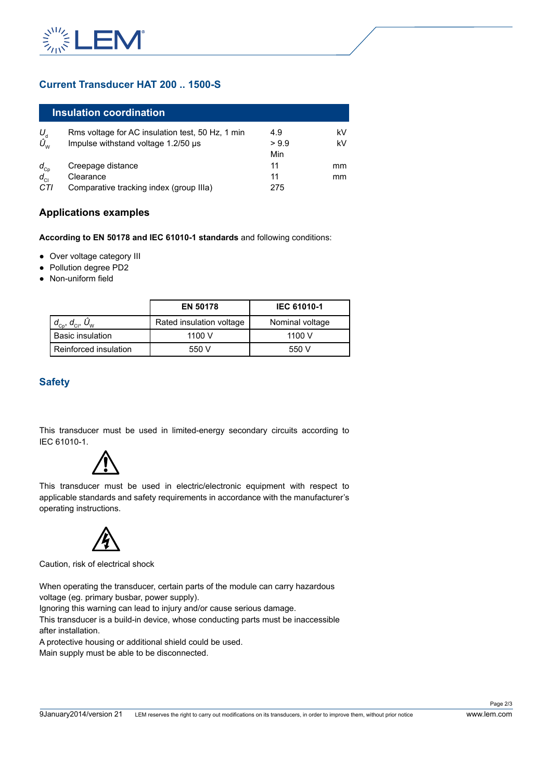

# **Current Transducer HAT 200 .. 1500-S**

|                         | Insulation coordination                          |      |    |
|-------------------------|--------------------------------------------------|------|----|
| $U_{\rm d}$             | Rms voltage for AC insulation test, 50 Hz, 1 min | 4.9  | kV |
| $\hat{U}_{\mathsf{w}}$  | Impulse withstand voltage 1.2/50 µs              | >9.9 | kV |
|                         |                                                  | Min  |    |
|                         | Creepage distance                                | 11   | mm |
| $\frac{d_{Cp}}{d_{Cl}}$ | Clearance                                        | 11   | mm |
| CTI                     | Comparative tracking index (group IIIa)          | 275  |    |

# **Applications examples**

- Over voltage category III
- Pollution degree PD2
- Non-uniform field

| Over voltage category III<br>Pollution degree PD2<br>Non-uniform field |                                                                                                                                                                 |                    |
|------------------------------------------------------------------------|-----------------------------------------------------------------------------------------------------------------------------------------------------------------|--------------------|
|                                                                        | <b>EN 50178</b>                                                                                                                                                 | <b>IEC 61010-1</b> |
| $d_{\text{cp}}$ , $d_{\text{cl}}$ , $\hat{U}_{\text{w}}$               | Rated insulation voltage                                                                                                                                        | Nominal voltage    |
| <b>Basic insulation</b>                                                | 1100 V                                                                                                                                                          | 1100 V             |
| Reinforced insulation                                                  | 550 V                                                                                                                                                           | 550 V              |
|                                                                        |                                                                                                                                                                 |                    |
| erating instructions.<br>ution, risk of electrical shock               | is transducer must be used in electric/electronic equipment with respect to<br>plicable standards and safety requirements in accordance with the manufacturer's |                    |

# **Safety**





Caution, risk of electrical shock

A protective housing or additional shield could be used.

Main supply must be able to be disconnected.